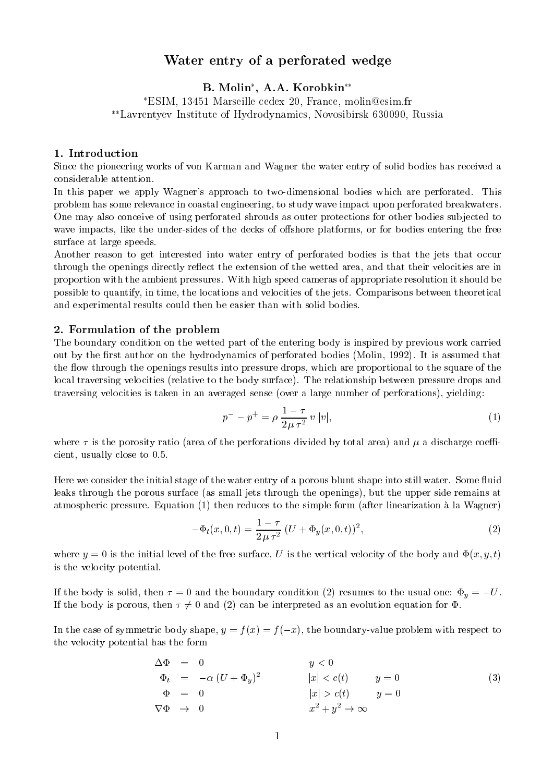# Water entry of <sup>a</sup> perforated wedge

B. Molin , A.A. Korobkin ESIM, <sup>13451</sup> Marseille cedex 20, France, molin@esim.fr Lavrentyev Institute of Hydrodynamics, Novosibirsk 630090, Russia

### 1. Introduction

Since the pioneering works of von Karman and Wagner the water entry of solid bodies has received a considerable attention.

In this paper we apply Wagner's approach to two-dimensional bodies which are perforated. This problem has some relevance in coastal engineering, to study wave impact upon perforated breakwaters. One may also conceive of using perforated shrouds as outer protections for other bodies sub jected to wave impacts, like the under-sides of the decks of offshore platforms, or for bodies entering the free surface at large speeds.

Another reason to get interested into water entry of perforated bodies is that the jets that occur through the openings directly reflect the extension of the wetted area, and that their velocities are in proportion with the ambient pressures. With high speed cameras of appropriate resolution it should be possible to quantify, in time, the locations and velocities of the jets. Comparisons between theoretical and experimental results could then be easier than with solid bodies.

#### 2. Formulation of the problem

The boundary condition on the wetted part of the entering body is inspired by previous work carried out by the first author on the hydrodynamics of perforated bodies (Molin, 1992). It is assumed that the flow through the openings results into pressure drops, which are proportional to the square of the local traversing velocities (relative to the body surface). The relationship between pressure drops and traversing velocities is taken in an averaged sense (over a large number of perforations), yielding:

$$
p^{-} - p^{+} = \rho \, \frac{1 - \tau}{2 \, \mu \, \tau^{2}} \, v \, |v|,\tag{1}
$$

where  $\tau$  is the porosity ratio (area of the perforations divided by total area) and  $\mu$  a discharge coefficient, usually close to 0.5.

Here we consider the initial stage of the water entry of a porous blunt shape into still water. Some fluid leaks through the porous surface (as small jets through the openings), but the upper side remains at atmospheric pressure. Equation (1) then reduces to the simple form (after linearization a la Wagner)

$$
-\Phi_t(x,0,t) = \frac{1-\tau}{2\mu\tau^2} \left( U + \Phi_y(x,0,t) \right)^2, \tag{2}
$$

where  $y = 0$  is the initial level of the free surface, U is the vertical velocity of the body and  $\Phi(x, y, t)$ is the velocity potential.

If the body is solid, then  $\tau = 0$  and the boundary condition (2) resumes to the usual one:  $\Phi_y = -U$ . If the body is porous, then  $\tau \neq 0$  and (2) can be interpreted as an evolution equation for  $\Phi$ .

In the case of symmetric body shape,  $y = f(x) = f(-x)$ , the boundary-value problem with respect to the velocity potential has the form

$$
\begin{array}{rcl}\n\Delta \Phi & = & 0 \\
\Phi_t & = & -\alpha \left( U + \Phi_y \right)^2 \\
\Phi & = & 0 \\
\nabla \Phi & \to & 0\n\end{array}\n\qquad\n\begin{array}{rcl}\ny < 0 \\
|x| < c(t) \\
|x| > c(t) \\
x^2 + y^2 \to \infty\n\end{array}\n\qquad\n\begin{array}{rcl}\ny & = & 0 \\
y & = & 0 \\
x^2 + y^2 \to \infty\n\end{array}\n\tag{3}
$$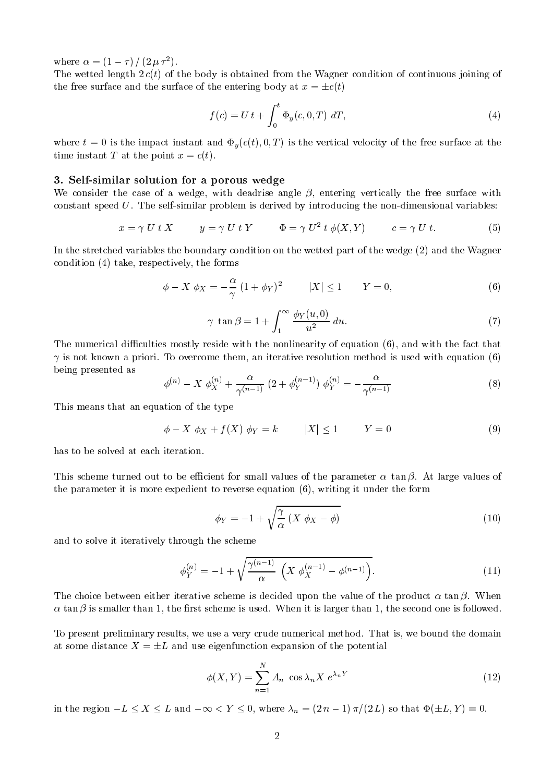where  $\alpha = (1 - \tau)/ (2 \mu \tau)$ .

The wetted length  $2 c(t)$  of the body is obtained from the Wagner condition of continuous joining of the free surface and the surface of the entering body at  $x = \pm c(t)$ 

$$
f(c) = U t + \int_0^t \Phi_y(c, 0, T) dT,
$$
\n(4)

where  $t = 0$  is the impact instant and  $\Phi_y(c(t), 0, T)$  is the vertical velocity of the free surface at the time instant T at the point  $x = c(t)$ .

## 3. Self-similar solution for a porous wedge

We consider the case of a wedge, with deadrise angle  $\beta$ , entering vertically the free surface with constant speed  $U$ . The self-similar problem is derived by introducing the non-dimensional variables:

$$
x = \gamma U t X \qquad y = \gamma U t Y \qquad \Phi = \gamma U^2 t \phi(X, Y) \qquad c = \gamma U t. \tag{5}
$$

In the stretched variables the boundary condition on the wetted part of the wedge (2) and the Wagner condition (4) take, respectively, the forms

$$
\phi - X \phi_X = -\frac{\alpha}{\gamma} (1 + \phi_Y)^2 \qquad |X| \le 1 \qquad Y = 0,
$$
\n<sup>(6)</sup>

$$
\gamma \ \tan \beta = 1 + \int_{1}^{\infty} \frac{\phi_Y(u,0)}{u^2} \ du. \tag{7}
$$

The numerical difficulties mostly reside with the nonlinearity of equation (6), and with the fact that  $\gamma$  is not known a priori. To overcome them, an iterative resolution method is used with equation (6) being presented as

$$
\phi^{(n)} - X \phi_X^{(n)} + \frac{\alpha}{\gamma^{(n-1)}} (2 + \phi_Y^{(n-1)}) \phi_Y^{(n)} = -\frac{\alpha}{\gamma^{(n-1)}}
$$
\n(8)

This means that an equation of the type

$$
\phi - X \phi_X + f(X) \phi_Y = k \qquad |X| \le 1 \qquad Y = 0 \tag{9}
$$

has to be solved at each iteration.

This scheme turned out to be efficient for small values of the parameter  $\alpha$  tan  $\beta$ . At large values of the parameter it is more expedient to reverse equation (6), writing it under the form

$$
\phi_Y = -1 + \sqrt{\frac{\gamma}{\alpha} \left( X \phi_X - \phi \right)} \tag{10}
$$

and to solve it iteratively through the scheme

$$
\phi_Y^{(n)} = -1 + \sqrt{\frac{\gamma^{(n-1)}}{\alpha} \left( X \phi_X^{(n-1)} - \phi^{(n-1)} \right)}.
$$
\n(11)

The choice between either iterative scheme is decided upon the value of the product  $\alpha$  tan  $\beta$ . When  $\alpha$  tan  $\beta$  is smaller than 1, the first scheme is used. When it is larger than 1, the second one is followed.

To present preliminary results, we use a very crude numerical method. That is, we bound the domain at some distance  $X = \pm L$  and use eigenfunction expansion of the potential

$$
\phi(X,Y) = \sum_{n=1}^{N} A_n \cos \lambda_n X \ e^{\lambda_n Y} \tag{12}
$$

in the region  $-L \le X \le L$  and  $-\infty < Y \le 0$ , where  $\lambda_n = (2 n - 1) \pi/(2 L)$  so that  $\Phi(\pm L, Y) \equiv 0$ .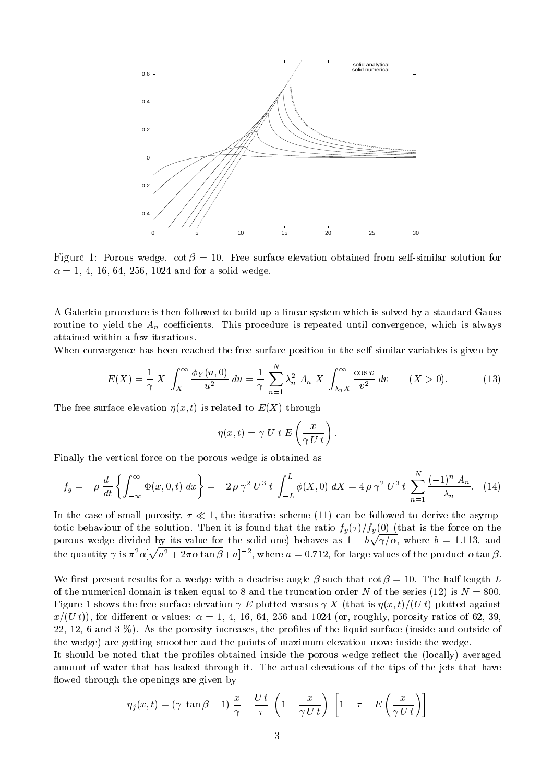

Figure 1: Porous wedge. cot  = 10. Free surface elevation obtained from self-similar solution for  $\alpha = 1, 4, 16, 64, 256, 1024$  and for a solid wedge.

A Galerkin procedure is then followed to build up a linear system which is solved by a standard Gauss routine to yield the  $A_n$  coefficients. This procedure is repeated until convergence, which is always attained within a few iterations.

When convergence has been reached the free surface position in the self-similar variables is given by

$$
E(X) = \frac{1}{\gamma} X \int_X^{\infty} \frac{\phi_Y(u,0)}{u^2} du = \frac{1}{\gamma} \sum_{n=1}^N \lambda_n^2 A_n X \int_{\lambda_n X}^{\infty} \frac{\cos v}{v^2} dv \qquad (X > 0).
$$
 (13)

The free surface elevation  $\eta(x, t)$  is related to  $E(X)$  through

$$
\eta(x,t) = \gamma U t E\left(\frac{x}{\gamma U t}\right).
$$

Finally the vertical force on the porous wedge is obtained as

$$
f_y = -\rho \frac{d}{dt} \left\{ \int_{-\infty}^{\infty} \Phi(x, 0, t) dx \right\} = -2 \rho \gamma^2 U^3 t \int_{-L}^{L} \phi(X, 0) dX = 4 \rho \gamma^2 U^3 t \sum_{n=1}^{N} \frac{(-1)^n A_n}{\lambda_n}.
$$
 (14)

In the case of small porosity,  $\tau \ll 1$ , the iterative scheme (11) can be followed to derive the asymptotic behaviour of the solution. Then it is found that the ratio  $f_y(\tau)/f_y(0)$  (that is the force on the porous wedge divided by its value for the solid one) behaves as  $1-b\sqrt{\gamma/\alpha}$ , where  $b=1.113$ , and the quantity  $\gamma$  is  $\pi^2\alpha[\sqrt{a^2+2\pi\alpha\tan\beta}+a]^{-2}$ , where

We first present results for a wedge with a deadrise angle  $\beta$  such that cot  $\beta = 10$ . The half-length L of the numerical domain is taken equal to 8 and the truncation order N of the series (12) is  $N = 800$ . Figure 1 shows the free surface elevation  $\gamma E$  plotted versus  $\gamma X$  (that is  $\eta(x, t)/(U t)$ ) plotted against  $x/(U t)$ ), for different  $\alpha$  values:  $\alpha = 1, 4, 16, 64, 256$  and 1024 (or, roughly, porosity ratios of 62, 39, 22, 12, 6 and  $3\%$ ). As the porosity increases, the profiles of the liquid surface (inside and outside of the wedge) are getting smoother and the points of maximum elevation move inside the wedge.

It should be noted that the profiles obtained inside the porous wedge reflect the (locally) averaged amount of water that has leaked through it. The actual elevations of the tips of the jets that have flowed through the openings are given by

$$
\eta_j(x,t) = (\gamma \tan \beta - 1) \frac{x}{\gamma} + \frac{Ut}{\tau} \left( 1 - \frac{x}{\gamma U t} \right) \left[ 1 - \tau + E\left(\frac{x}{\gamma U t}\right) \right]
$$